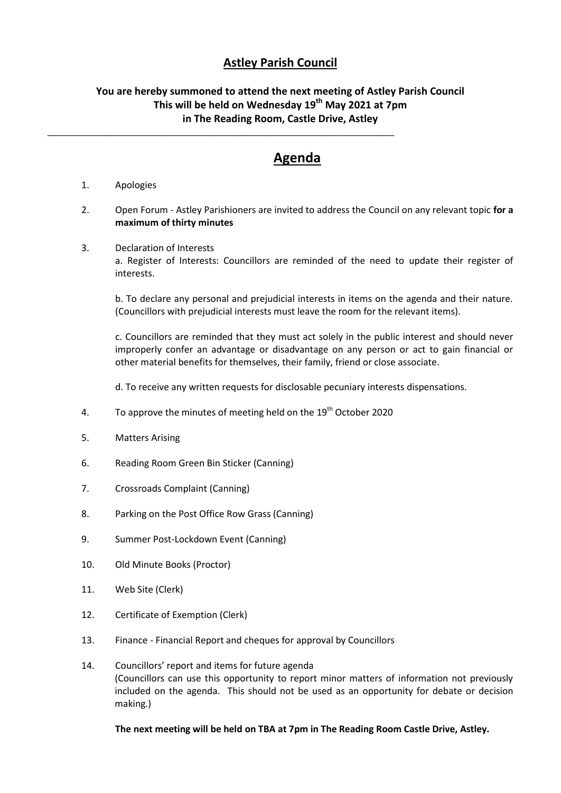## **Astley Parish Council**

## **You are hereby summoned to attend the next meeting of Astley Parish Council This will be held on Wednesday 19th May 2021 at 7pm in The Reading Room, Castle Drive, Astley**

\_\_\_\_\_\_\_\_\_\_\_\_\_\_\_\_\_\_\_\_\_\_\_\_\_\_\_\_\_\_\_\_\_\_\_\_\_\_\_\_\_\_\_\_\_\_\_\_\_\_\_\_\_\_\_\_\_\_\_\_\_\_\_\_\_\_\_\_\_\_\_\_\_\_

## **Agenda**

- 1. Apologies
- 2. Open Forum Astley Parishioners are invited to address the Council on any relevant topic **for a maximum of thirty minutes**
- 3. Declaration of Interests

a. Register of Interests: Councillors are reminded of the need to update their register of interests.

b. To declare any personal and prejudicial interests in items on the agenda and their nature. (Councillors with prejudicial interests must leave the room for the relevant items).

c. Councillors are reminded that they must act solely in the public interest and should never improperly confer an advantage or disadvantage on any person or act to gain financial or other material benefits for themselves, their family, friend or close associate.

d. To receive any written requests for disclosable pecuniary interests dispensations.

- 4. To approve the minutes of meeting held on the  $19<sup>th</sup>$  October 2020
- 5. Matters Arising
- 6. Reading Room Green Bin Sticker (Canning)
- 7. Crossroads Complaint (Canning)
- 8. Parking on the Post Office Row Grass (Canning)
- 9. Summer Post-Lockdown Event (Canning)
- 10. Old Minute Books (Proctor)
- 11. Web Site (Clerk)
- 12. Certificate of Exemption (Clerk)
- 13. Finance Financial Report and cheques for approval by Councillors
- 14. Councillors' report and items for future agenda (Councillors can use this opportunity to report minor matters of information not previously included on the agenda. This should not be used as an opportunity for debate or decision making.)

## **The next meeting will be held on TBA at 7pm in The Reading Room Castle Drive, Astley.**